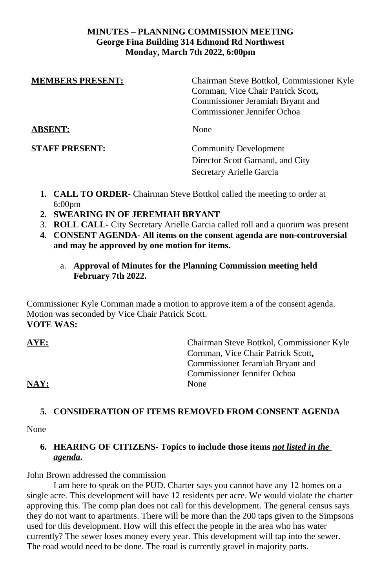#### **MINUTES – PLANNING COMMISSION MEETING George Fina Building 314 Edmond Rd Northwest Monday, March 7th 2022, 6:00pm**

| <b>MEMBERS PRESENT:</b> | Chairman Steve Bottkol, Commissioner Kyle<br>Cornman, Vice Chair Patrick Scott,<br>Commissioner Jeramiah Bryant and |
|-------------------------|---------------------------------------------------------------------------------------------------------------------|
|                         | Commissioner Jennifer Ochoa                                                                                         |
| <b>ABSENT:</b>          | None                                                                                                                |
| <b>STAFF PRESENT:</b>   | <b>Community Development</b>                                                                                        |
|                         | Director Scott Garnand, and City                                                                                    |
|                         | Secretary Arielle Garcia                                                                                            |
|                         |                                                                                                                     |

- **1. CALL TO ORDER-** Chairman Steve Bottkol called the meeting to order at 6:00pm
- **2. SWEARING IN OF JEREMIAH BRYANT**
- 3. **ROLL CALL-** City Secretary Arielle Garcia called roll and a quorum was present
- **4. CONSENT AGENDA- All items on the consent agenda are non-controversial and may be approved by one motion for items.**
	- a. **Approval of Minutes for the Planning Commission meeting held February 7th 2022.**

Commissioner Kyle Cornman made a motion to approve item a of the consent agenda. Motion was seconded by Vice Chair Patrick Scott. **VOTE WAS:**

**AYE:** Chairman Steve Bottkol, Commissioner Kyle Cornman, Vice Chair Patrick Scott**,**  Commissioner Jeramiah Bryant and Commissioner Jennifer Ochoa NAY: None

# **5. CONSIDERATION OF ITEMS REMOVED FROM CONSENT AGENDA**

None

# **6. HEARING OF CITIZENS- Topics to include those items** *not listed in the agenda***.**

John Brown addressed the commission

I am here to speak on the PUD. Charter says you cannot have any 12 homes on a single acre. This development will have 12 residents per acre. We would violate the charter approving this. The comp plan does not call for this development. The general census says they do not want to apartments. There will be more than the 200 taps given to the Simpsons used for this development. How will this effect the people in the area who has water currently? The sewer loses money every year. This development will tap into the sewer. The road would need to be done. The road is currently gravel in majority parts.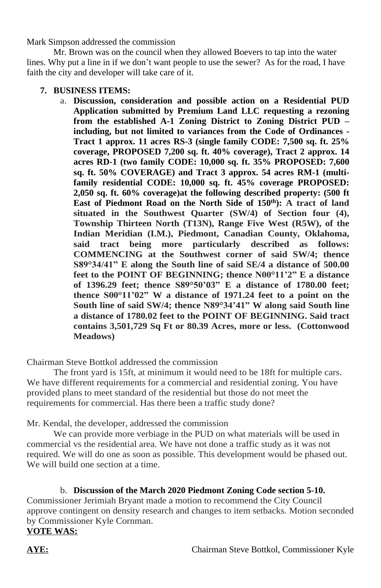Mark Simpson addressed the commission

Mr. Brown was on the council when they allowed Boevers to tap into the water lines. Why put a line in if we don't want people to use the sewer? As for the road, I have faith the city and developer will take care of it.

- **7. BUSINESS ITEMS:**
	- a. **Discussion, consideration and possible action on a Residential PUD Application submitted by Premium Land LLC requesting a rezoning from the established A-1 Zoning District to Zoning District PUD – including, but not limited to variances from the Code of Ordinances - Tract 1 approx. 11 acres RS-3 (single family CODE: 7,500 sq. ft. 25% coverage, PROPOSED 7,200 sq. ft. 40% coverage), Tract 2 approx. 14 acres RD-1 (two family CODE: 10,000 sq. ft. 35% PROPOSED: 7,600 sq. ft. 50% COVERAGE) and Tract 3 approx. 54 acres RM-1 (multifamily residential CODE: 10,000 sq. ft. 45% coverage PROPOSED: 2,050 sq. ft. 60% coverage)at the following described property: (500 ft East of Piedmont Road on the North Side of 150th): A tract of land situated in the Southwest Quarter (SW/4) of Section four (4), Township Thirteen North (T13N), Range Five West (R5W), of the Indian Meridian (I.M.), Piedmont, Canadian County, Oklahoma, said tract being more particularly described as follows: COMMENCING at the Southwest corner of said SW/4; thence S89°34/41" E along the South line of said SE/4 a distance of 500.00 feet to the POINT OF BEGINNING; thence N00°11'2" E a distance of 1396.29 feet; thence S89°50'03" E a distance of 1780.00 feet; thence S00°11'02" W a distance of 1971.24 feet to a point on the South line of said SW/4; thence N89°34'41" W along said South line a distance of 1780.02 feet to the POINT OF BEGINNING. Said tract contains 3,501,729 Sq Ft or 80.39 Acres, more or less. (Cottonwood Meadows)**

Chairman Steve Bottkol addressed the commission

The front yard is 15ft, at minimum it would need to be 18ft for multiple cars. We have different requirements for a commercial and residential zoning. You have provided plans to meet standard of the residential but those do not meet the requirements for commercial. Has there been a traffic study done?

Mr. Kendal, the developer, addressed the commission

We can provide more verbiage in the PUD on what materials will be used in commercial vs the residential area. We have not done a traffic study as it was not required. We will do one as soon as possible. This development would be phased out. We will build one section at a time.

#### b. **Discussion of the March 2020 Piedmont Zoning Code section 5-10.**

Commissioner Jerimiah Bryant made a motion to recommend the City Council approve contingent on density research and changes to item setbacks. Motion seconded by Commissioner Kyle Cornman.

## **VOTE WAS:**